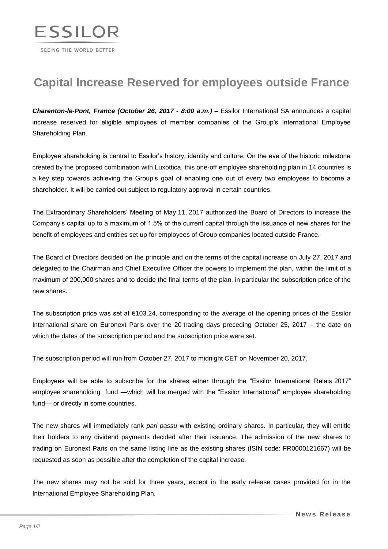

## **Capital Increase Reserved for employees outside France**

*Charenton-le-Pont, France (October 26, 2017 - 8:00 a.m.)* – Essilor International SA announces a capital increase reserved for eligible employees of member companies of the Group's International Employee Shareholding Plan.

Employee shareholding is central to Essilor's history, identity and culture. On the eve of the historic milestone created by the proposed combination with Luxottica, this one-off employee shareholding plan in 14 countries is a key step towards achieving the Group's goal of enabling one out of every two employees to become a shareholder. It will be carried out subject to regulatory approval in certain countries.

The Extraordinary Shareholders' Meeting of May 11, 2017 authorized the Board of Directors to increase the Company's capital up to a maximum of 1.5% of the current capital through the issuance of new shares for the benefit of employees and entities set up for employees of Group companies located outside France.

The Board of Directors decided on the principle and on the terms of the capital increase on July 27, 2017 and delegated to the Chairman and Chief Executive Officer the powers to implement the plan, within the limit of a maximum of 200,000 shares and to decide the final terms of the plan, in particular the subscription price of the new shares.

The subscription price was set at €103.24, corresponding to the average of the opening prices of the Essilor International share on Euronext Paris over the 20 trading days preceding October 25, 2017 – the date on which the dates of the subscription period and the subscription price were set.

The subscription period will run from October 27, 2017 to midnight CET on November 20, 2017.

Employees will be able to subscribe for the shares either through the "Essilor International Relais 2017" employee shareholding fund —which will be merged with the "Essilor International" employee shareholding fund— or directly in some countries.

The new shares will immediately rank *pari passu* with existing ordinary shares. In particular, they will entitle their holders to any dividend payments decided after their issuance. The admission of the new shares to trading on Euronext Paris on the same listing line as the existing shares (ISIN code: FR0000121667) will be requested as soon as possible after the completion of the capital increase.

The new shares may not be sold for three years, except in the early release cases provided for in the International Employee Shareholding Plan.